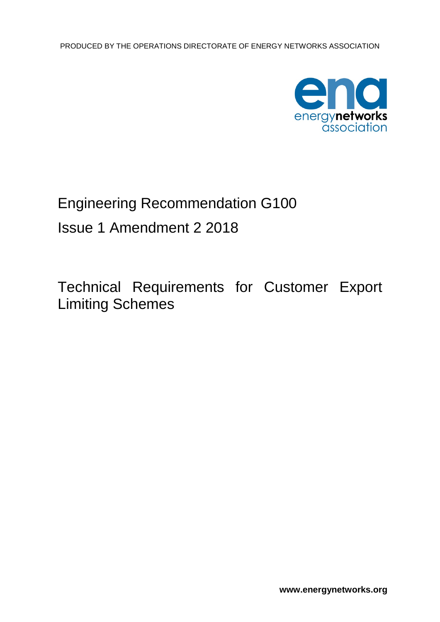

# Engineering Recommendation G100 Issue 1 Amendment 2 2018

Technical Requirements for Customer Export Limiting Schemes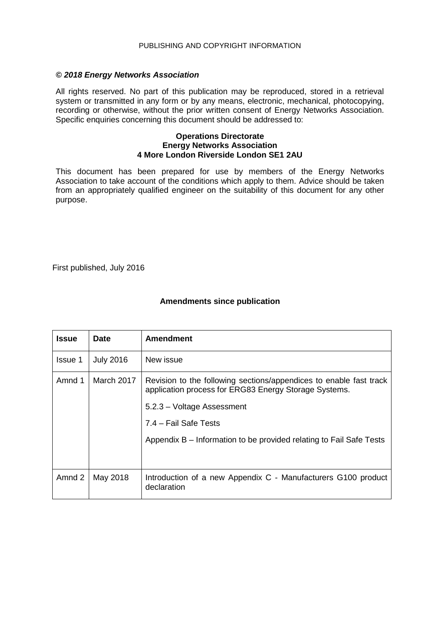#### PUBLISHING AND COPYRIGHT INFORMATION

#### *© 2018 Energy Networks Association*

All rights reserved. No part of this publication may be reproduced, stored in a retrieval system or transmitted in any form or by any means, electronic, mechanical, photocopying, recording or otherwise, without the prior written consent of Energy Networks Association. Specific enquiries concerning this document should be addressed to:

#### **Operations Directorate Energy Networks Association 4 More London Riverside London SE1 2AU**

This document has been prepared for use by members of the Energy Networks Association to take account of the conditions which apply to them. Advice should be taken from an appropriately qualified engineer on the suitability of this document for any other purpose.

First published, July 2016

#### **Amendments since publication**

| <b>Issue</b> | <b>Date</b>      | <b>Amendment</b>                                                                                                            |  |
|--------------|------------------|-----------------------------------------------------------------------------------------------------------------------------|--|
| Issue 1      | <b>July 2016</b> | New issue                                                                                                                   |  |
| Amnd 1       | March 2017       | Revision to the following sections/appendices to enable fast track<br>application process for ERG83 Energy Storage Systems. |  |
|              |                  | 5.2.3 - Voltage Assessment                                                                                                  |  |
|              |                  | 7.4 – Fail Safe Tests                                                                                                       |  |
|              |                  | Appendix B – Information to be provided relating to Fail Safe Tests                                                         |  |
| Amnd 2       | May 2018         | Introduction of a new Appendix C - Manufacturers G100 product<br>declaration                                                |  |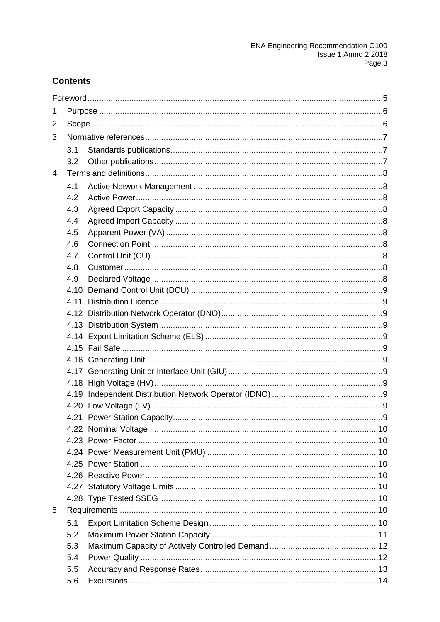# **Contents**

| 1 |      |  |
|---|------|--|
| 2 |      |  |
| 3 |      |  |
|   | 3.1  |  |
|   | 3.2  |  |
| 4 |      |  |
|   | 4.1  |  |
|   | 4.2  |  |
|   | 4.3  |  |
|   | 4.4  |  |
|   | 4.5  |  |
|   | 4.6  |  |
|   | 4.7  |  |
|   | 4.8  |  |
|   | 4.9  |  |
|   | 4.10 |  |
|   | 4.11 |  |
|   |      |  |
|   |      |  |
|   |      |  |
|   |      |  |
|   |      |  |
|   |      |  |
|   |      |  |
|   |      |  |
|   |      |  |
|   |      |  |
|   |      |  |
|   |      |  |
|   |      |  |
|   |      |  |
|   |      |  |
|   |      |  |
|   |      |  |
| 5 |      |  |
|   | 5.1  |  |
|   | 5.2  |  |
|   | 5.3  |  |
|   | 5.4  |  |
|   | 5.5  |  |
|   | 5.6  |  |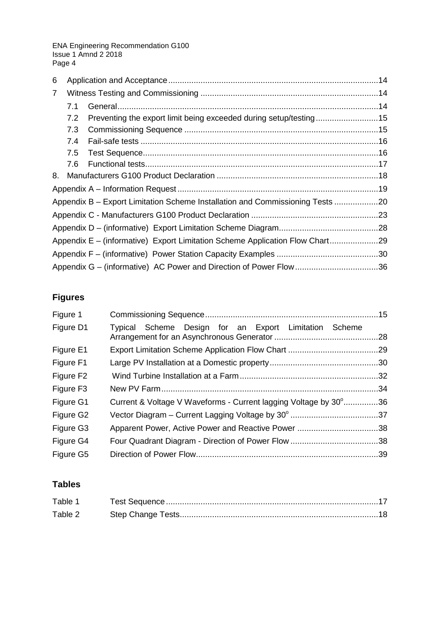| 6              |     |                                                                               |  |
|----------------|-----|-------------------------------------------------------------------------------|--|
| $\overline{7}$ |     |                                                                               |  |
|                | 7.1 |                                                                               |  |
|                | 7.2 | Preventing the export limit being exceeded during setup/testing15             |  |
|                | 7.3 |                                                                               |  |
|                | 7.4 |                                                                               |  |
|                | 7.5 |                                                                               |  |
|                | 7.6 |                                                                               |  |
|                |     |                                                                               |  |
|                |     |                                                                               |  |
|                |     | Appendix B – Export Limitation Scheme Installation and Commissioning Tests 20 |  |
|                |     |                                                                               |  |
|                |     |                                                                               |  |
|                |     | Appendix E – (informative) Export Limitation Scheme Application Flow Chart29  |  |
|                |     |                                                                               |  |
|                |     |                                                                               |  |

# **Figures**

| Figure 1              |                                                                  |  |
|-----------------------|------------------------------------------------------------------|--|
| Figure D1             | Typical Scheme Design for an Export Limitation Scheme            |  |
| Figure E1             |                                                                  |  |
| Figure F1             |                                                                  |  |
| Figure F <sub>2</sub> |                                                                  |  |
| Figure F <sub>3</sub> |                                                                  |  |
| Figure G1             | Current & Voltage V Waveforms - Current lagging Voltage by 30°36 |  |
| Figure G2             |                                                                  |  |
| Figure G3             | Apparent Power, Active Power and Reactive Power 38               |  |
| Figure G4             |                                                                  |  |
| Figure G5             |                                                                  |  |

# **Tables**

| Table 1 |  |
|---------|--|
| Table 2 |  |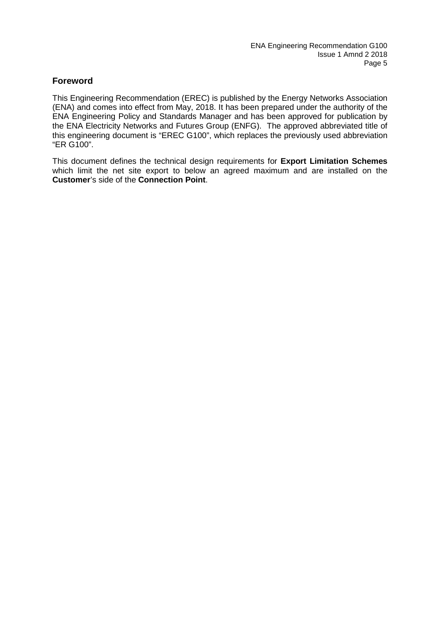# <span id="page-4-0"></span>**Foreword**

This Engineering Recommendation (EREC) is published by the Energy Networks Association (ENA) and comes into effect from May, 2018. It has been prepared under the authority of the ENA Engineering Policy and Standards Manager and has been approved for publication by the ENA Electricity Networks and Futures Group (ENFG). The approved abbreviated title of this engineering document is "EREC G100", which replaces the previously used abbreviation "ER G100".

This document defines the technical design requirements for **Export Limitation Schemes** which limit the net site export to below an agreed maximum and are installed on the **Customer**'s side of the **Connection Point**.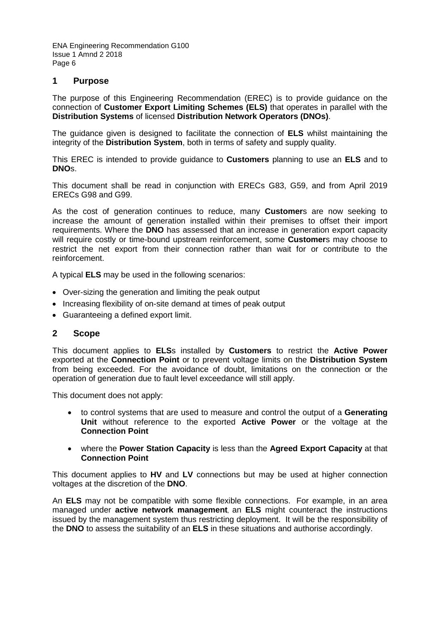#### <span id="page-5-0"></span>**1 Purpose**

The purpose of this Engineering Recommendation (EREC) is to provide guidance on the connection of **Customer Export Limiting Schemes (ELS)** that operates in parallel with the **Distribution Systems** of licensed **Distribution Network Operators (DNOs)**.

The guidance given is designed to facilitate the connection of **ELS** whilst maintaining the integrity of the **Distribution System**, both in terms of safety and supply quality.

This EREC is intended to provide guidance to **Customers** planning to use an **ELS** and to **DNO**s.

This document shall be read in conjunction with ERECs G83, G59, and from April 2019 ERECs G98 and G99.

As the cost of generation continues to reduce, many **Customer**s are now seeking to increase the amount of generation installed within their premises to offset their import requirements. Where the **DNO** has assessed that an increase in generation export capacity will require costly or time-bound upstream reinforcement, some **Customer**s may choose to restrict the net export from their connection rather than wait for or contribute to the reinforcement.

A typical **ELS** may be used in the following scenarios:

- Over-sizing the generation and limiting the peak output
- Increasing flexibility of on-site demand at times of peak output
- Guaranteeing a defined export limit.

#### <span id="page-5-1"></span>**2 Scope**

This document applies to **ELS**s installed by **Customers** to restrict the **Active Power** exported at the **Connection Point** or to prevent voltage limits on the **Distribution System**  from being exceeded. For the avoidance of doubt, limitations on the connection or the operation of generation due to fault level exceedance will still apply.

This document does not apply:

- to control systems that are used to measure and control the output of a **Generating Unit** without reference to the exported **Active Power** or the voltage at the **Connection Point**
- where the **Power Station Capacity** is less than the **Agreed Export Capacity** at that **Connection Point**

This document applies to **HV** and **LV** connections but may be used at higher connection voltages at the discretion of the **DNO**.

An **ELS** may not be compatible with some flexible connections. For example, in an area managed under **active network management**, an **ELS** might counteract the instructions issued by the management system thus restricting deployment. It will be the responsibility of the **DNO** to assess the suitability of an **ELS** in these situations and authorise accordingly.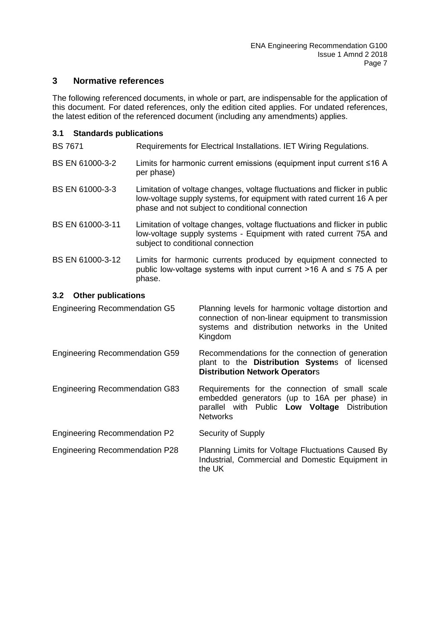# <span id="page-6-0"></span>**3 Normative references**

The following referenced documents, in whole or part, are indispensable for the application of this document. For dated references, only the edition cited applies. For undated references, the latest edition of the referenced document (including any amendments) applies.

#### <span id="page-6-1"></span>**3.1 Standards publications**

| <b>BS 7671</b>                                                                                                                                                             | Requirements for Electrical Installations. IET Wiring Regulations.                                                                                                                                    |  |  |
|----------------------------------------------------------------------------------------------------------------------------------------------------------------------------|-------------------------------------------------------------------------------------------------------------------------------------------------------------------------------------------------------|--|--|
| BS EN 61000-3-2                                                                                                                                                            | Limits for harmonic current emissions (equipment input current $\leq 16$ A<br>per phase)                                                                                                              |  |  |
| BS EN 61000-3-3                                                                                                                                                            | Limitation of voltage changes, voltage fluctuations and flicker in public<br>low-voltage supply systems, for equipment with rated current 16 A per<br>phase and not subject to conditional connection |  |  |
| BS EN 61000-3-11                                                                                                                                                           | Limitation of voltage changes, voltage fluctuations and flicker in public<br>low-voltage supply systems - Equipment with rated current 75A and<br>subject to conditional connection                   |  |  |
| BS EN 61000-3-12<br>Limits for harmonic currents produced by equipment connected to<br>public low-voltage systems with input current $>16$ A and $\leq$ 75 A per<br>phase. |                                                                                                                                                                                                       |  |  |
| <b>Other publications</b><br>$3.2^{\circ}$                                                                                                                                 |                                                                                                                                                                                                       |  |  |
| <b>Engineering Recommendation G5</b><br>Planning levels for harmonic voltage distortion and                                                                                |                                                                                                                                                                                                       |  |  |

<span id="page-6-2"></span>connection of non-linear equipment to transmission systems and distribution networks in the United Kingdom

Engineering Recommendation G59 Recommendations for the connection of generation plant to the **Distribution System**s of licensed **Distribution Network Operator**s

Engineering Recommendation G83 Requirements for the connection of small scale embedded generators (up to 16A per phase) in parallel with Public **Low Voltage** Distribution **Networks** 

Engineering Recommendation P2 Security of Supply Engineering Recommendation P28 Planning Limits for Voltage Fluctuations Caused By Industrial, Commercial and Domestic Equipment in the UK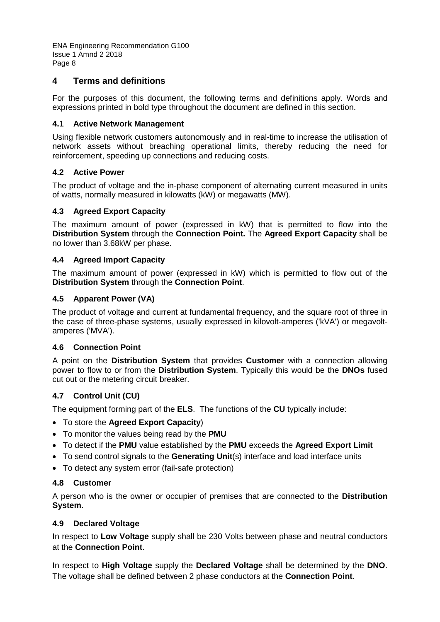# <span id="page-7-0"></span>**4 Terms and definitions**

For the purposes of this document, the following terms and definitions apply. Words and expressions printed in bold type throughout the document are defined in this section.

# <span id="page-7-1"></span>**4.1 Active Network Management**

Using flexible network customers autonomously and in real-time to increase the utilisation of network assets without breaching operational limits, thereby reducing the need for reinforcement, speeding up connections and reducing costs.

#### <span id="page-7-2"></span>**4.2 Active Power**

The product of voltage and the in-phase component of alternating current measured in units of watts, normally measured in kilowatts (kW) or megawatts (MW).

# <span id="page-7-3"></span>**4.3 Agreed Export Capacity**

The maximum amount of power (expressed in kW) that is permitted to flow into the **Distribution System** through the **Connection Point.** The **Agreed Export Capacity** shall be no lower than 3.68kW per phase.

#### <span id="page-7-4"></span>**4.4 Agreed Import Capacity**

The maximum amount of power (expressed in kW) which is permitted to flow out of the **Distribution System** through the **Connection Point**.

#### <span id="page-7-5"></span>**4.5 Apparent Power (VA)**

The product of voltage and current at fundamental frequency, and the square root of three in the case of three-phase systems, usually expressed in kilovolt-amperes ('kVA') or megavoltamperes ('MVA').

#### <span id="page-7-6"></span>**4.6 Connection Point**

A point on the **Distribution System** that provides **Customer** with a connection allowing power to flow to or from the **Distribution System**. Typically this would be the **DNOs** fused cut out or the metering circuit breaker.

# <span id="page-7-7"></span>**4.7 Control Unit (CU)**

The equipment forming part of the **ELS**. The functions of the **CU** typically include:

- To store the **Agreed Export Capacity**)
- To monitor the values being read by the **PMU**
- To detect if the **PMU** value established by the **PMU** exceeds the **Agreed Export Limit**
- To send control signals to the **Generating Unit**(s) interface and load interface units
- To detect any system error (fail-safe protection)

#### <span id="page-7-8"></span>**4.8 Customer**

A person who is the owner or occupier of premises that are connected to the **Distribution System**.

#### <span id="page-7-9"></span>**4.9 Declared Voltage**

In respect to **Low Voltage** supply shall be 230 Volts between phase and neutral conductors at the **Connection Point**.

In respect to **High Voltage** supply the **Declared Voltage** shall be determined by the **DNO**. The voltage shall be defined between 2 phase conductors at the **Connection Point**.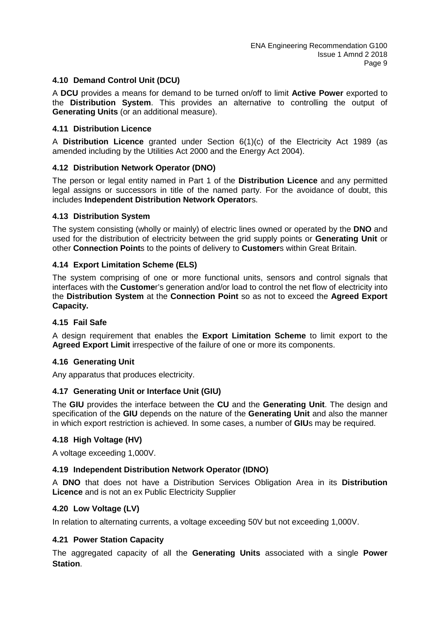# <span id="page-8-0"></span>**4.10 Demand Control Unit (DCU)**

A **DCU** provides a means for demand to be turned on/off to limit **Active Power** exported to the **Distribution System**. This provides an alternative to controlling the output of **Generating Units** (or an additional measure).

#### <span id="page-8-1"></span>**4.11 Distribution Licence**

A **Distribution Licence** granted under Section 6(1)(c) of the Electricity Act 1989 (as amended including by the Utilities Act 2000 and the Energy Act 2004).

#### <span id="page-8-2"></span>**4.12 Distribution Network Operator (DNO)**

The person or legal entity named in Part 1 of the **Distribution Licence** and any permitted legal assigns or successors in title of the named party. For the avoidance of doubt, this includes **Independent Distribution Network Operator**s.

#### <span id="page-8-3"></span>**4.13 Distribution System**

The system consisting (wholly or mainly) of electric lines owned or operated by the **DNO** and used for the distribution of electricity between the grid supply points or **Generating Unit** or other **Connection Point**s to the points of delivery to **Customer**s within Great Britain.

#### <span id="page-8-4"></span>**4.14 Export Limitation Scheme (ELS)**

The system comprising of one or more functional units, sensors and control signals that interfaces with the **Custome**r's generation and/or load to control the net flow of electricity into the **Distribution System** at the **Connection Point** so as not to exceed the **Agreed Export Capacity.**

#### <span id="page-8-5"></span>**4.15 Fail Safe**

A design requirement that enables the **Export Limitation Scheme** to limit export to the **Agreed Export Limit** irrespective of the failure of one or more its components.

#### <span id="page-8-6"></span>**4.16 Generating Unit**

Any apparatus that produces electricity.

#### <span id="page-8-7"></span>**4.17 Generating Unit or Interface Unit (GIU)**

The **GIU** provides the interface between the **CU** and the **Generating Unit**. The design and specification of the **GIU** depends on the nature of the **Generating Unit** and also the manner in which export restriction is achieved. In some cases, a number of **GIU**s may be required.

#### <span id="page-8-8"></span>**4.18 High Voltage (HV)**

A voltage exceeding 1,000V.

#### <span id="page-8-9"></span>**4.19 Independent Distribution Network Operator (IDNO)**

A **DNO** that does not have a Distribution Services Obligation Area in its **Distribution Licence** and is not an ex Public Electricity Supplier

#### <span id="page-8-10"></span>**4.20 Low Voltage (LV)**

In relation to alternating currents, a voltage exceeding 50V but not exceeding 1,000V.

#### <span id="page-8-11"></span>**4.21 Power Station Capacity**

The aggregated capacity of all the **Generating Units** associated with a single **Power Station**.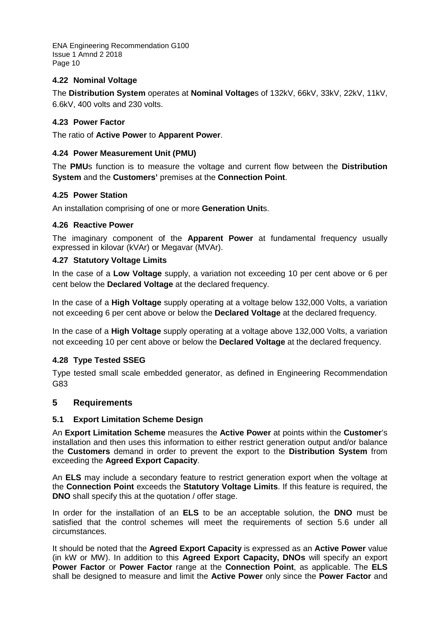# <span id="page-9-0"></span>**4.22 Nominal Voltage**

The **Distribution System** operates at **Nominal Voltage**s of 132kV, 66kV, 33kV, 22kV, 11kV, 6.6kV, 400 volts and 230 volts.

# <span id="page-9-1"></span>**4.23 Power Factor**

The ratio of **Active Power** to **Apparent Power**.

#### <span id="page-9-2"></span>**4.24 Power Measurement Unit (PMU)**

The **PMU**s function is to measure the voltage and current flow between the **Distribution System** and the **Customers'** premises at the **Connection Point**.

#### <span id="page-9-3"></span>**4.25 Power Station**

An installation comprising of one or more **Generation Unit**s.

#### <span id="page-9-4"></span>**4.26 Reactive Power**

The imaginary component of the **Apparent Power** at fundamental frequency usually expressed in kilovar (kVAr) or Megavar (MVAr).

#### <span id="page-9-5"></span>**4.27 Statutory Voltage Limits**

In the case of a **Low Voltage** supply, a variation not exceeding 10 per cent above or 6 per cent below the **Declared Voltage** at the declared frequency.

In the case of a **High Voltage** supply operating at a voltage below 132,000 Volts, a variation not exceeding 6 per cent above or below the **Declared Voltage** at the declared frequency.

In the case of a **High Voltage** supply operating at a voltage above 132,000 Volts, a variation not exceeding 10 per cent above or below the **Declared Voltage** at the declared frequency.

# <span id="page-9-6"></span>**4.28 Type Tested SSEG**

Type tested small scale embedded generator, as defined in Engineering Recommendation G83

#### <span id="page-9-7"></span>**5 Requirements**

#### <span id="page-9-8"></span>**5.1 Export Limitation Scheme Design**

An **Export Limitation Scheme** measures the **Active Power** at points within the **Customer**'s installation and then uses this information to either restrict generation output and/or balance the **Customers** demand in order to prevent the export to the **Distribution System** from exceeding the **Agreed Export Capacity**.

An **ELS** may include a secondary feature to restrict generation export when the voltage at the **Connection Point** exceeds the **Statutory Voltage Limits**. If this feature is required, the **DNO** shall specify this at the quotation / offer stage.

In order for the installation of an **ELS** to be an acceptable solution, the **DNO** must be satisfied that the control schemes will meet the requirements of section 5.6 under all circumstances.

It should be noted that the **Agreed Export Capacity** is expressed as an **Active Power** value (in kW or MW). In addition to this **Agreed Export Capacity, DNOs** will specify an export **Power Factor** or **Power Factor** range at the **Connection Point**, as applicable. The **ELS** shall be designed to measure and limit the **Active Power** only since the **Power Factor** and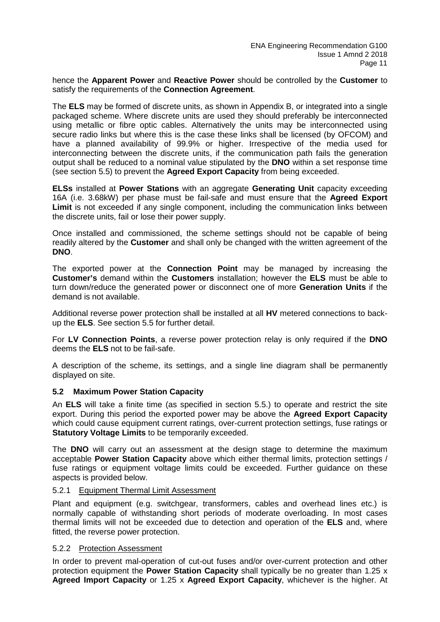hence the **Apparent Power** and **Reactive Power** should be controlled by the **Customer** to satisfy the requirements of the **Connection Agreement**.

The **ELS** may be formed of discrete units, as shown in Appendix B, or integrated into a single packaged scheme. Where discrete units are used they should preferably be interconnected using metallic or fibre optic cables. Alternatively the units may be interconnected using secure radio links but where this is the case these links shall be licensed (by OFCOM) and have a planned availability of 99.9% or higher. Irrespective of the media used for interconnecting between the discrete units, if the communication path fails the generation output shall be reduced to a nominal value stipulated by the **DNO** within a set response time (see section 5.5) to prevent the **Agreed Export Capacity** from being exceeded.

**ELSs** installed at **Power Stations** with an aggregate **Generating Unit** capacity exceeding 16A (i.e. 3.68kW) per phase must be fail-safe and must ensure that the **Agreed Export Limit** is not exceeded if any single component, including the communication links between the discrete units, fail or lose their power supply.

Once installed and commissioned, the scheme settings should not be capable of being readily altered by the **Customer** and shall only be changed with the written agreement of the **DNO**.

The exported power at the **Connection Point** may be managed by increasing the **Customer's** demand within the **Customers** installation; however the **ELS** must be able to turn down/reduce the generated power or disconnect one of more **Generation Units** if the demand is not available.

Additional reverse power protection shall be installed at all **HV** metered connections to backup the **ELS**. See section 5.5 for further detail.

For **LV Connection Points**, a reverse power protection relay is only required if the **DNO** deems the **ELS** not to be fail-safe.

A description of the scheme, its settings, and a single line diagram shall be permanently displayed on site.

#### <span id="page-10-0"></span>**5.2 Maximum Power Station Capacity**

An **ELS** will take a finite time (as specified in section 5.5.) to operate and restrict the site export. During this period the exported power may be above the **Agreed Export Capacity** which could cause equipment current ratings, over-current protection settings, fuse ratings or **Statutory Voltage Limits** to be temporarily exceeded.

The **DNO** will carry out an assessment at the design stage to determine the maximum acceptable **Power Station Capacity** above which either thermal limits, protection settings / fuse ratings or equipment voltage limits could be exceeded. Further guidance on these aspects is provided below.

#### 5.2.1 Equipment Thermal Limit Assessment

Plant and equipment (e.g. switchgear, transformers, cables and overhead lines etc.) is normally capable of withstanding short periods of moderate overloading. In most cases thermal limits will not be exceeded due to detection and operation of the **ELS** and, where fitted, the reverse power protection.

#### 5.2.2 Protection Assessment

In order to prevent mal-operation of cut-out fuses and/or over-current protection and other protection equipment the **Power Station Capacity** shall typically be no greater than 1.25 x **Agreed Import Capacity** or 1.25 x **Agreed Export Capacity**, whichever is the higher. At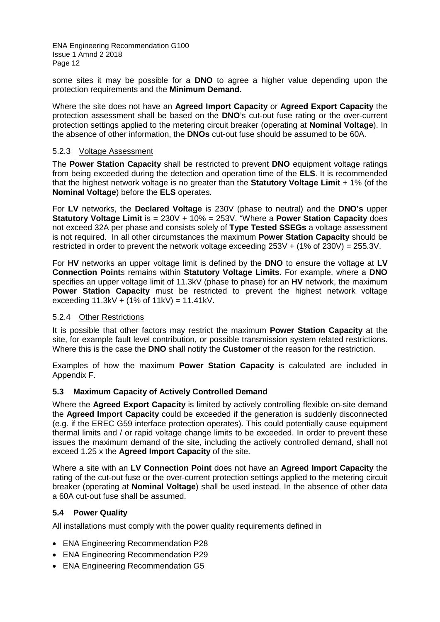some sites it may be possible for a **DNO** to agree a higher value depending upon the protection requirements and the **Minimum Demand.**

Where the site does not have an **Agreed Import Capacity** or **Agreed Export Capacity** the protection assessment shall be based on the **DNO**'s cut-out fuse rating or the over-current protection settings applied to the metering circuit breaker (operating at **Nominal Voltage**). In the absence of other information, the **DNOs** cut-out fuse should be assumed to be 60A.

#### 5.2.3 Voltage Assessment

The **Power Station Capacity** shall be restricted to prevent **DNO** equipment voltage ratings from being exceeded during the detection and operation time of the **ELS**. It is recommended that the highest network voltage is no greater than the **Statutory Voltage Limit** + 1% (of the **Nominal Voltage**) before the **ELS** operates.

For **LV** networks, the **Declared Voltage** is 230V (phase to neutral) and the **DNO's** upper **Statutory Voltage Limit** is = 230V + 10% = 253V. "Where a **Power Station Capacity** does not exceed 32A per phase and consists solely of **Type Tested SSEGs** a voltage assessment is not required. In all other circumstances the maximum **Power Station Capacity** should be restricted in order to prevent the network voltage exceeding 253V + (1% of 230V) = 255.3V.

For **HV** networks an upper voltage limit is defined by the **DNO** to ensure the voltage at **LV Connection Point**s remains within **Statutory Voltage Limits.** For example, where a **DNO** specifies an upper voltage limit of 11.3kV (phase to phase) for an **HV** network, the maximum **Power Station Capacity** must be restricted to prevent the highest network voltage exceeding  $11.3kV + (1\% \text{ of } 11kV) = 11.41kV$ .

#### 5.2.4 Other Restrictions

It is possible that other factors may restrict the maximum **Power Station Capacity** at the site, for example fault level contribution, or possible transmission system related restrictions. Where this is the case the **DNO** shall notify the **Customer** of the reason for the restriction.

Examples of how the maximum **Power Station Capacity** is calculated are included in Appendix F.

#### <span id="page-11-0"></span>**5.3 Maximum Capacity of Actively Controlled Demand**

Where the **Agreed Export Capacity** is limited by actively controlling flexible on-site demand the **Agreed Import Capacity** could be exceeded if the generation is suddenly disconnected (e.g. if the EREC G59 interface protection operates). This could potentially cause equipment thermal limits and / or rapid voltage change limits to be exceeded. In order to prevent these issues the maximum demand of the site, including the actively controlled demand, shall not exceed 1.25 x the **Agreed Import Capacity** of the site.

Where a site with an **LV Connection Point** does not have an **Agreed Import Capacity** the rating of the cut-out fuse or the over-current protection settings applied to the metering circuit breaker (operating at **Nominal Voltage**) shall be used instead. In the absence of other data a 60A cut-out fuse shall be assumed.

#### <span id="page-11-1"></span>**5.4 Power Quality**

All installations must comply with the power quality requirements defined in

- ENA Engineering Recommendation P28
- ENA Engineering Recommendation P29
- ENA Engineering Recommendation G5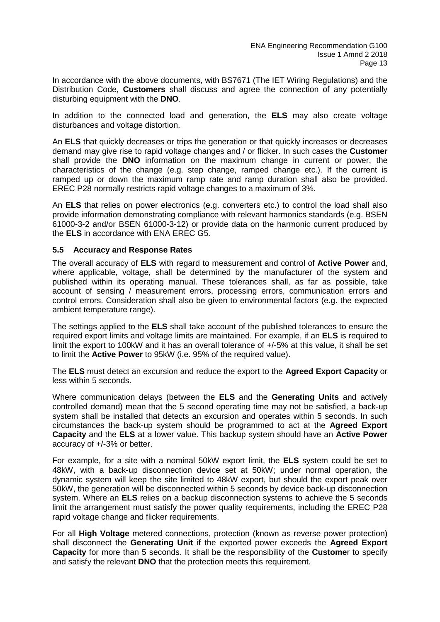In accordance with the above documents, with BS7671 (The IET Wiring Regulations) and the Distribution Code, **Customers** shall discuss and agree the connection of any potentially disturbing equipment with the **DNO**.

In addition to the connected load and generation, the **ELS** may also create voltage disturbances and voltage distortion.

An **ELS** that quickly decreases or trips the generation or that quickly increases or decreases demand may give rise to rapid voltage changes and / or flicker. In such cases the **Customer** shall provide the **DNO** information on the maximum change in current or power, the characteristics of the change (e.g. step change, ramped change etc.). If the current is ramped up or down the maximum ramp rate and ramp duration shall also be provided. EREC P28 normally restricts rapid voltage changes to a maximum of 3%.

An **ELS** that relies on power electronics (e.g. converters etc.) to control the load shall also provide information demonstrating compliance with relevant harmonics standards (e.g. BSEN 61000-3-2 and/or BSEN 61000-3-12) or provide data on the harmonic current produced by the **ELS** in accordance with ENA EREC G5.

#### <span id="page-12-0"></span>**5.5 Accuracy and Response Rates**

The overall accuracy of **ELS** with regard to measurement and control of **Active Power** and, where applicable, voltage, shall be determined by the manufacturer of the system and published within its operating manual. These tolerances shall, as far as possible, take account of sensing / measurement errors, processing errors, communication errors and control errors. Consideration shall also be given to environmental factors (e.g. the expected ambient temperature range).

The settings applied to the **ELS** shall take account of the published tolerances to ensure the required export limits and voltage limits are maintained. For example, if an **ELS** is required to limit the export to 100kW and it has an overall tolerance of +/-5% at this value, it shall be set to limit the **Active Power** to 95kW (i.e. 95% of the required value).

The **ELS** must detect an excursion and reduce the export to the **Agreed Export Capacity** or less within 5 seconds.

Where communication delays (between the **ELS** and the **Generating Units** and actively controlled demand) mean that the 5 second operating time may not be satisfied, a back-up system shall be installed that detects an excursion and operates within 5 seconds. In such circumstances the back-up system should be programmed to act at the **Agreed Export Capacity** and the **ELS** at a lower value. This backup system should have an **Active Power** accuracy of +/-3% or better.

For example, for a site with a nominal 50kW export limit, the **ELS** system could be set to 48kW, with a back-up disconnection device set at 50kW; under normal operation, the dynamic system will keep the site limited to 48kW export, but should the export peak over 50kW, the generation will be disconnected within 5 seconds by device back-up disconnection system. Where an **ELS** relies on a backup disconnection systems to achieve the 5 seconds limit the arrangement must satisfy the power quality requirements, including the EREC P28 rapid voltage change and flicker requirements.

For all **High Voltage** metered connections, protection (known as reverse power protection) shall disconnect the **Generating Unit** if the exported power exceeds the **Agreed Export Capacity** for more than 5 seconds. It shall be the responsibility of the **Custome**r to specify and satisfy the relevant **DNO** that the protection meets this requirement.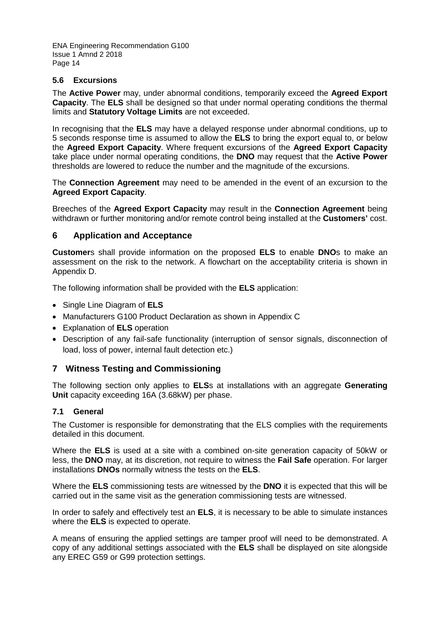#### <span id="page-13-0"></span>**5.6 Excursions**

The **Active Power** may, under abnormal conditions, temporarily exceed the **Agreed Export Capacity**. The **ELS** shall be designed so that under normal operating conditions the thermal limits and **Statutory Voltage Limits** are not exceeded.

In recognising that the **ELS** may have a delayed response under abnormal conditions, up to 5 seconds response time is assumed to allow the **ELS** to bring the export equal to, or below the **Agreed Export Capacity**. Where frequent excursions of the **Agreed Export Capacity**  take place under normal operating conditions, the **DNO** may request that the **Active Power** thresholds are lowered to reduce the number and the magnitude of the excursions.

The **Connection Agreement** may need to be amended in the event of an excursion to the **Agreed Export Capacity**.

Breeches of the **Agreed Export Capacity** may result in the **Connection Agreement** being withdrawn or further monitoring and/or remote control being installed at the **Customers'** cost.

#### <span id="page-13-1"></span>**6 Application and Acceptance**

**Customer**s shall provide information on the proposed **ELS** to enable **DNO**s to make an assessment on the risk to the network. A flowchart on the acceptability criteria is shown in Appendix D.

The following information shall be provided with the **ELS** application:

- Single Line Diagram of **ELS**
- Manufacturers G100 Product Declaration as shown in Appendix C
- Explanation of **ELS** operation
- Description of any fail-safe functionality (interruption of sensor signals, disconnection of load, loss of power, internal fault detection etc.)

# <span id="page-13-2"></span>**7 Witness Testing and Commissioning**

The following section only applies to **ELS**s at installations with an aggregate **Generating Unit** capacity exceeding 16A (3.68kW) per phase.

#### <span id="page-13-3"></span>**7.1 General**

The Customer is responsible for demonstrating that the ELS complies with the requirements detailed in this document.

Where the **ELS** is used at a site with a combined on-site generation capacity of 50kW or less, the **DNO** may, at its discretion, not require to witness the **Fail Safe** operation. For larger installations **DNOs** normally witness the tests on the **ELS**.

Where the **ELS** commissioning tests are witnessed by the **DNO** it is expected that this will be carried out in the same visit as the generation commissioning tests are witnessed.

In order to safely and effectively test an **ELS**, it is necessary to be able to simulate instances where the **ELS** is expected to operate.

A means of ensuring the applied settings are tamper proof will need to be demonstrated. A copy of any additional settings associated with the **ELS** shall be displayed on site alongside any EREC G59 or G99 protection settings.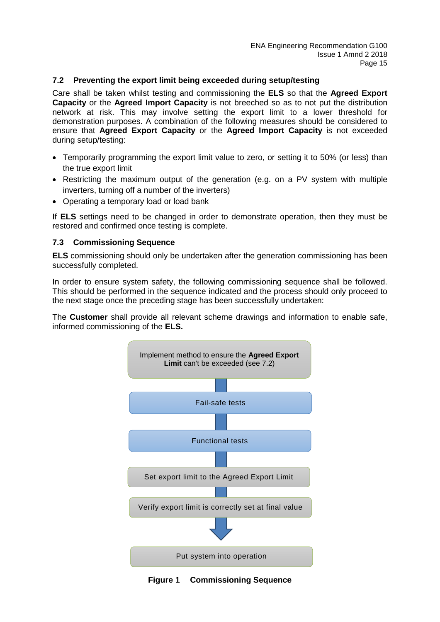# <span id="page-14-0"></span>**7.2 Preventing the export limit being exceeded during setup/testing**

Care shall be taken whilst testing and commissioning the **ELS** so that the **Agreed Export Capacity** or the **Agreed Import Capacity** is not breeched so as to not put the distribution network at risk. This may involve setting the export limit to a lower threshold for demonstration purposes. A combination of the following measures should be considered to ensure that **Agreed Export Capacity** or the **Agreed Import Capacity** is not exceeded during setup/testing:

- Temporarily programming the export limit value to zero, or setting it to 50% (or less) than the true export limit
- Restricting the maximum output of the generation (e.g. on a PV system with multiple inverters, turning off a number of the inverters)
- Operating a temporary load or load bank

If **ELS** settings need to be changed in order to demonstrate operation, then they must be restored and confirmed once testing is complete.

#### <span id="page-14-1"></span>**7.3 Commissioning Sequence**

**ELS** commissioning should only be undertaken after the generation commissioning has been successfully completed.

In order to ensure system safety, the following commissioning sequence shall be followed. This should be performed in the sequence indicated and the process should only proceed to the next stage once the preceding stage has been successfully undertaken:

The **Customer** shall provide all relevant scheme drawings and information to enable safe, informed commissioning of the **ELS.**



**Figure 1 Commissioning Sequence**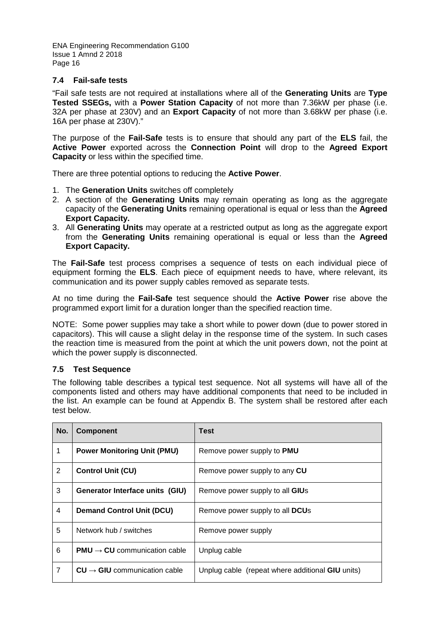# <span id="page-15-0"></span>**7.4 Fail-safe tests**

"Fail safe tests are not required at installations where all of the **Generating Units** are **Type Tested SSEGs,** with a **Power Station Capacity** of not more than 7.36kW per phase (i.e. 32A per phase at 230V) and an **Export Capacity** of not more than 3.68kW per phase (i.e. 16A per phase at 230V)."

The purpose of the **Fail-Safe** tests is to ensure that should any part of the **ELS** fail, the **Active Power** exported across the **Connection Point** will drop to the **Agreed Export Capacity** or less within the specified time.

There are three potential options to reducing the **Active Power**.

- 1. The **Generation Units** switches off completely
- 2. A section of the **Generating Units** may remain operating as long as the aggregate capacity of the **Generating Units** remaining operational is equal or less than the **Agreed Export Capacity.**
- 3. All **Generating Units** may operate at a restricted output as long as the aggregate export from the **Generating Units** remaining operational is equal or less than the **Agreed Export Capacity.**

The **Fail-Safe** test process comprises a sequence of tests on each individual piece of equipment forming the **ELS**. Each piece of equipment needs to have, where relevant, its communication and its power supply cables removed as separate tests.

At no time during the **Fail-Safe** test sequence should the **Active Power** rise above the programmed export limit for a duration longer than the specified reaction time.

NOTE: Some power supplies may take a short while to power down (due to power stored in capacitors). This will cause a slight delay in the response time of the system. In such cases the reaction time is measured from the point at which the unit powers down, not the point at which the power supply is disconnected.

# <span id="page-15-1"></span>**7.5 Test Sequence**

The following table describes a typical test sequence. Not all systems will have all of the components listed and others may have additional components that need to be included in the list. An example can be found at Appendix B. The system shall be restored after each test below.

| No.            | <b>Component</b>                         | <b>Test</b>                                      |
|----------------|------------------------------------------|--------------------------------------------------|
| 1              | <b>Power Monitoring Unit (PMU)</b>       | Remove power supply to PMU                       |
| $\overline{2}$ | <b>Control Unit (CU)</b>                 | Remove power supply to any CU                    |
| 3              | Generator Interface units (GIU)          | Remove power supply to all GIUs                  |
| $\overline{4}$ | <b>Demand Control Unit (DCU)</b>         | Remove power supply to all DCUs                  |
| 5              | Network hub / switches                   | Remove power supply                              |
| 6              | $PMU \rightarrow CU$ communication cable | Unplug cable                                     |
| $\overline{7}$ | $CU \rightarrow GIU$ communication cable | Unplug cable (repeat where additional GIU units) |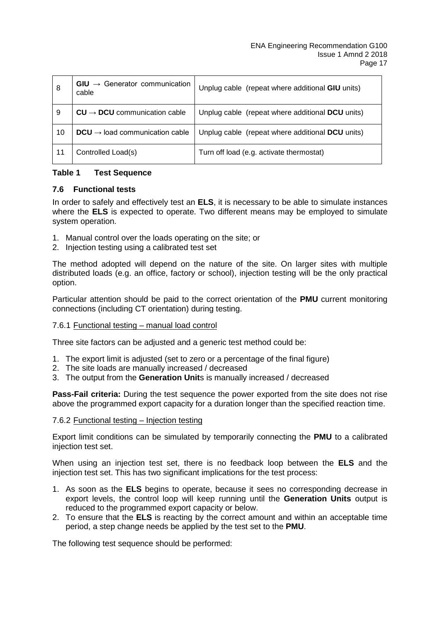| 8  | $GU \rightarrow$ Generator communication<br>cable | Unplug cable (repeat where additional GIU units) |
|----|---------------------------------------------------|--------------------------------------------------|
| 9  | $CU \rightarrow DCU$ communication cable          | Unplug cable (repeat where additional DCU units) |
| 10 | $DCU \rightarrow$ load communication cable        | Unplug cable (repeat where additional DCU units) |
| 11 | Controlled Load(s)                                | Turn off load (e.g. activate thermostat)         |

#### **Table 1 Test Sequence**

#### <span id="page-16-0"></span>**7.6 Functional tests**

In order to safely and effectively test an **ELS**, it is necessary to be able to simulate instances where the **ELS** is expected to operate. Two different means may be employed to simulate system operation.

- 1. Manual control over the loads operating on the site; or
- 2. Injection testing using a calibrated test set

The method adopted will depend on the nature of the site. On larger sites with multiple distributed loads (e.g. an office, factory or school), injection testing will be the only practical option.

Particular attention should be paid to the correct orientation of the **PMU** current monitoring connections (including CT orientation) during testing.

#### 7.6.1 Functional testing – manual load control

Three site factors can be adjusted and a generic test method could be:

- 1. The export limit is adjusted (set to zero or a percentage of the final figure)
- 2. The site loads are manually increased / decreased
- 3. The output from the **Generation Unit**s is manually increased / decreased

**Pass-Fail criteria:** During the test sequence the power exported from the site does not rise above the programmed export capacity for a duration longer than the specified reaction time.

#### 7.6.2 Functional testing – Injection testing

Export limit conditions can be simulated by temporarily connecting the **PMU** to a calibrated injection test set.

When using an injection test set, there is no feedback loop between the **ELS** and the injection test set. This has two significant implications for the test process:

- 1. As soon as the **ELS** begins to operate, because it sees no corresponding decrease in export levels, the control loop will keep running until the **Generation Units** output is reduced to the programmed export capacity or below.
- 2. To ensure that the **ELS** is reacting by the correct amount and within an acceptable time period, a step change needs be applied by the test set to the **PMU**.

The following test sequence should be performed: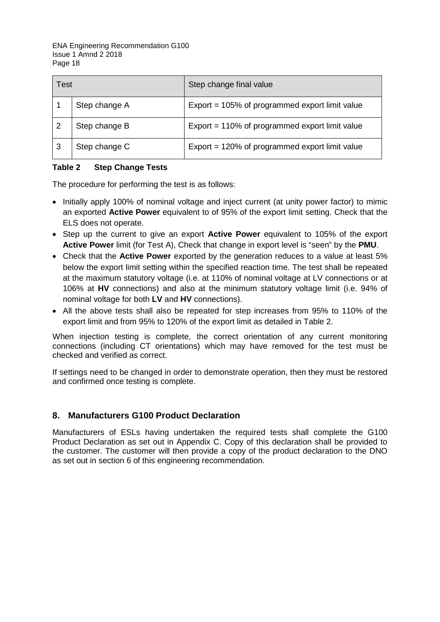| Test |               | Step change final value                        |
|------|---------------|------------------------------------------------|
|      | Step change A | Export = 105% of programmed export limit value |
|      | Step change B | Export = 110% of programmed export limit value |
|      | Step change C | Export = 120% of programmed export limit value |

# **Table 2 Step Change Tests**

The procedure for performing the test is as follows:

- Initially apply 100% of nominal voltage and inject current (at unity power factor) to mimic an exported **Active Power** equivalent to of 95% of the export limit setting. Check that the ELS does not operate.
- Step up the current to give an export **Active Power** equivalent to 105% of the export **Active Power** limit (for Test A), Check that change in export level is "seen" by the **PMU**.
- Check that the **Active Power** exported by the generation reduces to a value at least 5% below the export limit setting within the specified reaction time. The test shall be repeated at the maximum statutory voltage (i.e. at 110% of nominal voltage at LV connections or at 106% at **HV** connections) and also at the minimum statutory voltage limit (i.e. 94% of nominal voltage for both **LV** and **HV** connections).
- All the above tests shall also be repeated for step increases from 95% to 110% of the export limit and from 95% to 120% of the export limit as detailed in Table 2.

When injection testing is complete, the correct orientation of any current monitoring connections (including CT orientations) which may have removed for the test must be checked and verified as correct.

If settings need to be changed in order to demonstrate operation, then they must be restored and confirmed once testing is complete.

# <span id="page-17-0"></span>**8. Manufacturers G100 Product Declaration**

Manufacturers of ESLs having undertaken the required tests shall complete the G100 Product Declaration as set out in Appendix C. Copy of this declaration shall be provided to the customer. The customer will then provide a copy of the product declaration to the DNO as set out in section 6 of this engineering recommendation.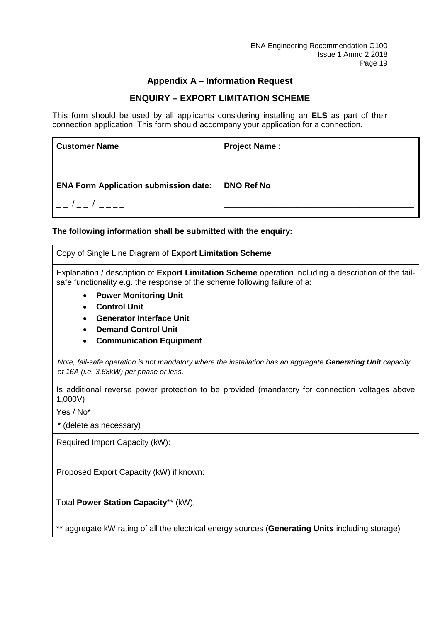# **Appendix A – Information Request**

# **ENQUIRY – EXPORT LIMITATION SCHEME**

<span id="page-18-0"></span>This form should be used by all applicants considering installing an **ELS** as part of their connection application. This form should accompany your application for a connection.

| <b>Customer Name</b>                         | <b>Project Name:</b> |
|----------------------------------------------|----------------------|
|                                              |                      |
| <b>ENA Form Application submission date:</b> | <b>DNO Ref No</b>    |
|                                              |                      |

#### **The following information shall be submitted with the enquiry:**

Copy of Single Line Diagram of **Export Limitation Scheme**

Explanation / description of **Export Limitation Scheme** operation including a description of the failsafe functionality e.g. the response of the scheme following failure of a:

- **Power Monitoring Unit**
- **Control Unit**
- **Generator Interface Unit**
- **Demand Control Unit**
- **Communication Equipment**

*Note, fail-safe operation is not mandatory where the installation has an aggregate Generating Unit capacity of 16A (i.e. 3.68kW) per phase or less.*

Is additional reverse power protection to be provided (mandatory for connection voltages above 1,000V)

Yes / No\*

\* (delete as necessary)

Required Import Capacity (kW):

Proposed Export Capacity (kW) if known:

Total **Power Station Capacity**\*\* (kW):

\*\* aggregate kW rating of all the electrical energy sources (**Generating Units** including storage)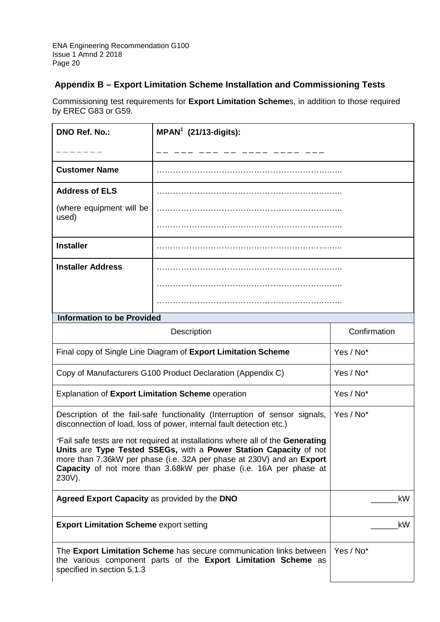# <span id="page-19-0"></span>**Appendix B – Export Limitation Scheme Installation and Commissioning Tests**

Commissioning test requirements for **Export Limitation Scheme**s, in addition to those required by EREC G83 or G59.

| <b>DNO Ref. No.:</b>                                                                                                                                                                                                                                                                                        | $MPAN1$ (21/13-digits): |  |
|-------------------------------------------------------------------------------------------------------------------------------------------------------------------------------------------------------------------------------------------------------------------------------------------------------------|-------------------------|--|
|                                                                                                                                                                                                                                                                                                             |                         |  |
| <b>Customer Name</b>                                                                                                                                                                                                                                                                                        |                         |  |
| <b>Address of ELS</b>                                                                                                                                                                                                                                                                                       |                         |  |
| (where equipment will be<br>used)                                                                                                                                                                                                                                                                           |                         |  |
|                                                                                                                                                                                                                                                                                                             |                         |  |
| <b>Installer</b>                                                                                                                                                                                                                                                                                            |                         |  |
| <b>Installer Address</b>                                                                                                                                                                                                                                                                                    |                         |  |
|                                                                                                                                                                                                                                                                                                             |                         |  |
|                                                                                                                                                                                                                                                                                                             |                         |  |
| <b>Information to be Provided</b>                                                                                                                                                                                                                                                                           |                         |  |
|                                                                                                                                                                                                                                                                                                             | Confirmation            |  |
| Final copy of Single Line Diagram of Export Limitation Scheme                                                                                                                                                                                                                                               | Yes / No*               |  |
| Copy of Manufacturers G100 Product Declaration (Appendix C)                                                                                                                                                                                                                                                 | Yes / No*               |  |
| Explanation of Export Limitation Scheme operation                                                                                                                                                                                                                                                           | Yes / No*               |  |
| Description of the fail-safe functionality (Interruption of sensor signals,<br>disconnection of load, loss of power, internal fault detection etc.)                                                                                                                                                         | Yes / No*               |  |
| "Fail safe tests are not required at installations where all of the Generating<br>Units are Type Tested SSEGs, with a Power Station Capacity of not<br>more than 7.36kW per phase (i.e. 32A per phase at 230V) and an Export<br>Capacity of not more than 3.68kW per phase (i.e. 16A per phase at<br>230V). |                         |  |
| Agreed Export Capacity as provided by the DNO                                                                                                                                                                                                                                                               | kW                      |  |
| <b>Export Limitation Scheme export setting</b>                                                                                                                                                                                                                                                              | kW                      |  |
| The Export Limitation Scheme has secure communication links between<br>the various component parts of the Export Limitation Scheme as<br>specified in section 5.1.3                                                                                                                                         | Yes / No*               |  |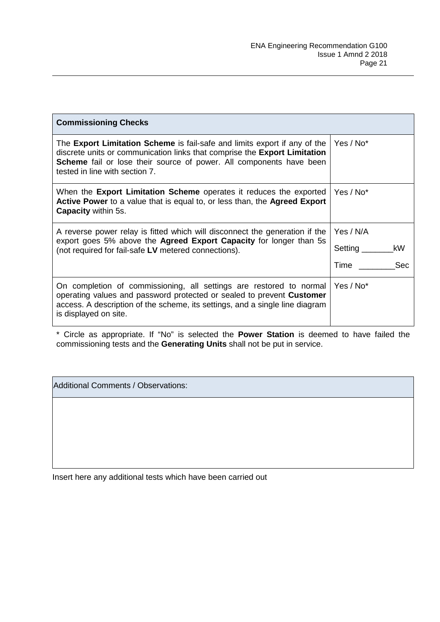| <b>Commissioning Checks</b>                                                                                                                                                                                                                                                   |                      |  |
|-------------------------------------------------------------------------------------------------------------------------------------------------------------------------------------------------------------------------------------------------------------------------------|----------------------|--|
| The <b>Export Limitation Scheme</b> is fail-safe and limits export if any of the<br>discrete units or communication links that comprise the <b>Export Limitation</b><br>Scheme fail or lose their source of power. All components have been<br>tested in line with section 7. | Yes / No*            |  |
| When the Export Limitation Scheme operates it reduces the exported<br>Active Power to a value that is equal to, or less than, the Agreed Export<br><b>Capacity within 5s.</b>                                                                                                 | Yes / No*            |  |
| A reverse power relay is fitted which will disconnect the generation if the<br>export goes 5% above the <b>Agreed Export Capacity</b> for longer than 5s                                                                                                                      | Yes / N/A            |  |
| (not required for fail-safe LV metered connections).                                                                                                                                                                                                                          | Setting $\_\_$<br>kW |  |
|                                                                                                                                                                                                                                                                               | Time<br>Sec          |  |
| On completion of commissioning, all settings are restored to normal<br>operating values and password protected or sealed to prevent Customer<br>access. A description of the scheme, its settings, and a single line diagram<br>is displayed on site.                         | Yes / No*            |  |

\* Circle as appropriate. If "No" is selected the **Power Station** is deemed to have failed the commissioning tests and the **Generating Units** shall not be put in service.

Additional Comments / Observations:

Insert here any additional tests which have been carried out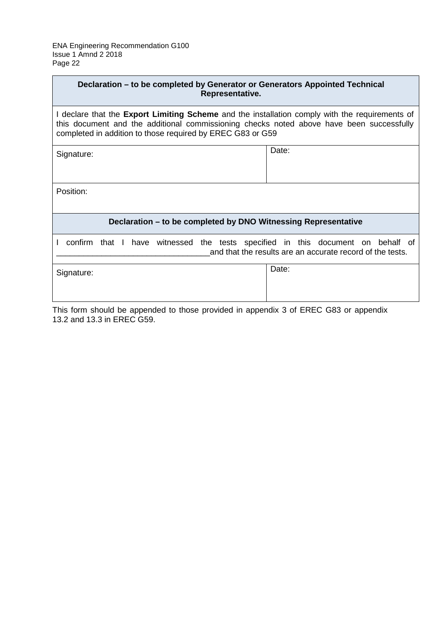| Declaration – to be completed by Generator or Generators Appointed Technical<br>Representative.                                                                                                                                                                 |       |  |  |  |  |
|-----------------------------------------------------------------------------------------------------------------------------------------------------------------------------------------------------------------------------------------------------------------|-------|--|--|--|--|
| I declare that the <b>Export Limiting Scheme</b> and the installation comply with the requirements of<br>this document and the additional commissioning checks noted above have been successfully<br>completed in addition to those required by EREC G83 or G59 |       |  |  |  |  |
| Signature:                                                                                                                                                                                                                                                      | Date: |  |  |  |  |
| Position:                                                                                                                                                                                                                                                       |       |  |  |  |  |
| Declaration – to be completed by DNO Witnessing Representative                                                                                                                                                                                                  |       |  |  |  |  |
| confirm that I have witnessed the tests specified in this document on behalf of<br>and that the results are an accurate record of the tests.                                                                                                                    |       |  |  |  |  |
| Signature:                                                                                                                                                                                                                                                      | Date: |  |  |  |  |

This form should be appended to those provided in appendix 3 of EREC G83 or appendix 13.2 and 13.3 in EREC G59.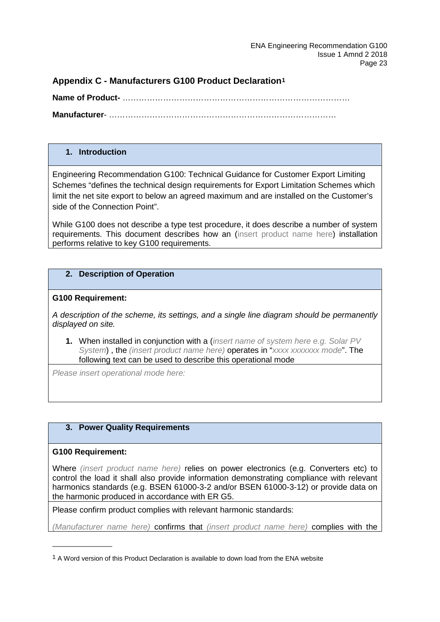# <span id="page-22-0"></span>**Appendix C - Manufacturers G100 Product Declaration[1](#page-22-1)**

**Name of Product-** …………………………………………………………………………

**Manufacturer**- …………………………………………………………………………

#### **1. Introduction**

Engineering Recommendation G100: Technical Guidance for Customer Export Limiting Schemes "defines the technical design requirements for Export Limitation Schemes which limit the net site export to below an agreed maximum and are installed on the Customer's side of the Connection Point".

While G100 does not describe a type test procedure, it does describe a number of system requirements. This document describes how an (insert product name here) installation performs relative to key G100 requirements.

# **2. Description of Operation**

#### **G100 Requirement:**

*A description of the scheme, its settings, and a single line diagram should be permanently displayed on site.* 

**1.** When installed in conjunction with a (*insert name of system here e.g. Solar PV System*) , the *(insert product name here)* operates in "*xxxx xxxxxxx mode*". The following text can be used to describe this operational mode

*Please insert operational mode here:* 

#### **3. Power Quality Requirements**

#### **G100 Requirement:**

————————————————————

Where *(insert product name here)* relies on power electronics (e.g. Converters etc) to control the load it shall also provide information demonstrating compliance with relevant harmonics standards (e.g. BSEN 61000-3-2 and/or BSEN 61000-3-12) or provide data on the harmonic produced in accordance with ER G5.

Please confirm product complies with relevant harmonic standards:

*(Manufacturer name here)* confirms that *(insert product name here)* complies with the

<span id="page-22-1"></span><sup>1</sup> A Word version of this Product Declaration is available to down load from the ENA website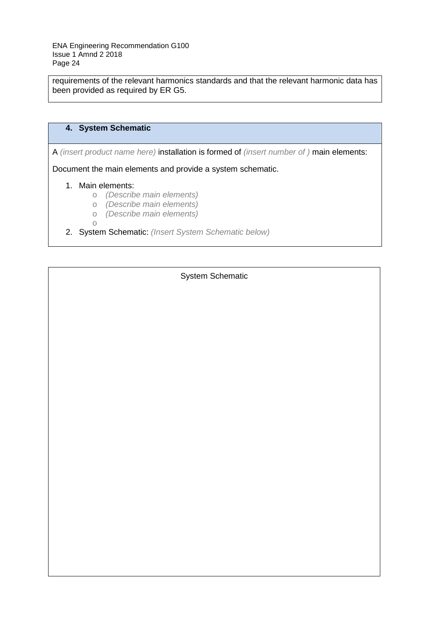requirements of the relevant harmonics standards and that the relevant harmonic data has been provided as required by ER G5.

# **4. System Schematic**

A *(insert product name here)* installation is formed of *(insert number of )* main elements:

Document the main elements and provide a system schematic.

- 1. Main elements:
	- o *(Describe main elements)*
	- o *(Describe main elements)*
	- o *(Describe main elements)*
	- o
- 2. System Schematic: *(Insert System Schematic below)*

#### System Schematic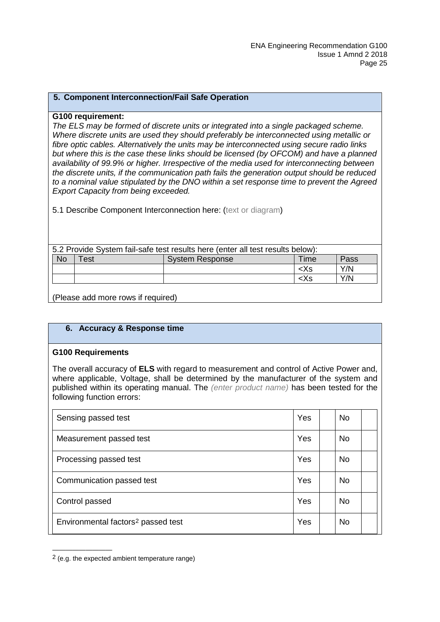#### **5. Component Interconnection/Fail Safe Operation**

#### **G100 requirement:**

*The ELS may be formed of discrete units or integrated into a single packaged scheme. Where discrete units are used they should preferably be interconnected using metallic or fibre optic cables. Alternatively the units may be interconnected using secure radio links but where this is the case these links should be licensed (by OFCOM) and have a planned availability of 99.9% or higher. Irrespective of the media used for interconnecting between the discrete units, if the communication path fails the generation output should be reduced to a nominal value stipulated by the DNO within a set response time to prevent the Agreed Export Capacity from being exceeded.*

5.1 Describe Component Interconnection here: (text or diagram)

| 5.2 Provide System fail-safe test results here (enter all test results below): |      |                        |             |      |
|--------------------------------------------------------------------------------|------|------------------------|-------------|------|
| <b>No</b>                                                                      | ⊺est | <b>System Response</b> | <b>Time</b> | Pass |
|                                                                                |      |                        | $<$ Xs      | Y/N  |
|                                                                                |      |                        | $<$ Xs      | Y/N  |

(Please add more rows if required)

#### **6. Accuracy & Response time**

#### **G100 Requirements**

The overall accuracy of **ELS** with regard to measurement and control of Active Power and, where applicable. Voltage, shall be determined by the manufacturer of the system and published within its operating manual. The *(enter product name)* has been tested for the following function errors:

| Sensing passed test                            | Yes | <b>No</b> |  |
|------------------------------------------------|-----|-----------|--|
| Measurement passed test                        | Yes | <b>No</b> |  |
| Processing passed test                         | Yes | <b>No</b> |  |
| Communication passed test                      | Yes | <b>No</b> |  |
| Control passed                                 | Yes | <b>No</b> |  |
| Environmental factors <sup>2</sup> passed test | Yes | <b>No</b> |  |

<span id="page-24-0"></span><sup>2</sup> (e.g. the expected ambient temperature range)

————————————————————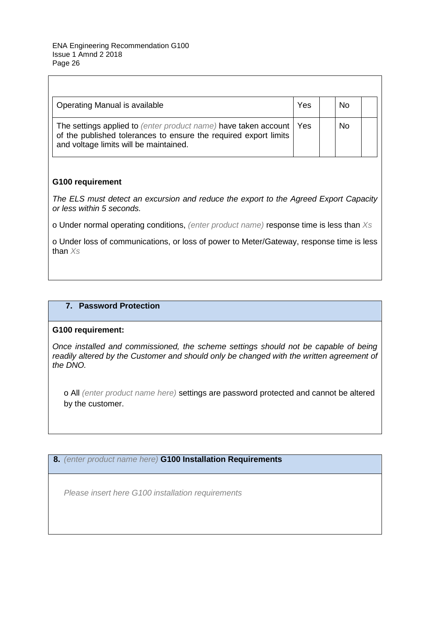| Operating Manual is available                                                                                                                                                       | Yes | No |  |
|-------------------------------------------------------------------------------------------------------------------------------------------------------------------------------------|-----|----|--|
| The settings applied to (enter product name) have taken account   Yes<br>of the published tolerances to ensure the required export limits<br>and voltage limits will be maintained. |     | No |  |

#### **G100 requirement**

*The ELS must detect an excursion and reduce the export to the Agreed Export Capacity or less within 5 seconds.*

o Under normal operating conditions, *(enter product name)* response time is less than *Xs*

o Under loss of communications, or loss of power to Meter/Gateway, response time is less than *Xs*

# **7. Password Protection**

#### **G100 requirement:**

*Once installed and commissioned, the scheme settings should not be capable of being readily altered by the Customer and should only be changed with the written agreement of the DNO.*

o All *(enter product name here)* settings are password protected and cannot be altered by the customer.

#### **8.** *(enter product name here)* **G100 Installation Requirements**

*Please insert here G100 installation requirements*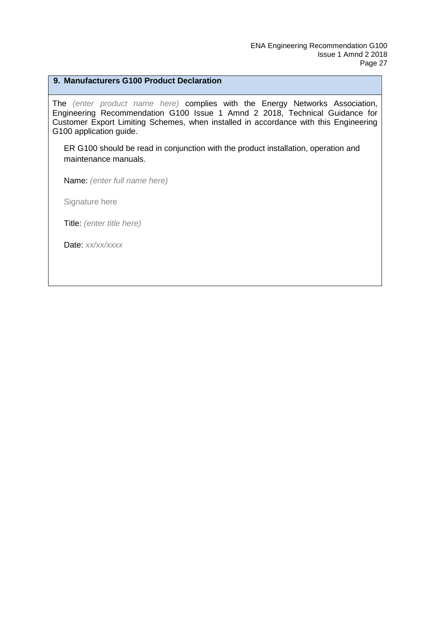# **9. Manufacturers G100 Product Declaration**

The *(enter product name here)* complies with the Energy Networks Association, Engineering Recommendation G100 Issue 1 Amnd 2 2018, Technical Guidance for Customer Export Limiting Schemes, when installed in accordance with this Engineering G100 application guide.

ER G100 should be read in conjunction with the product installation, operation and maintenance manuals.

Name: *(enter full name here)*

Signature here

Title: *(enter title here)*

Date: *xx/xx/xxxx*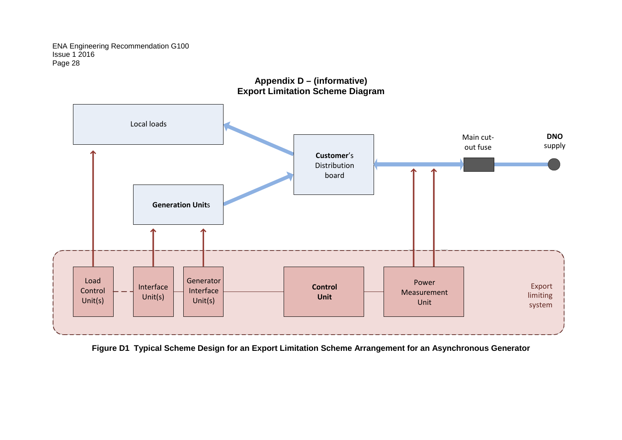

**Appendix D – (informative) Export Limitation Scheme Diagram**

<span id="page-27-0"></span>**Figure D1 Typical Scheme Design for an Export Limitation Scheme Arrangement for an Asynchronous Generator**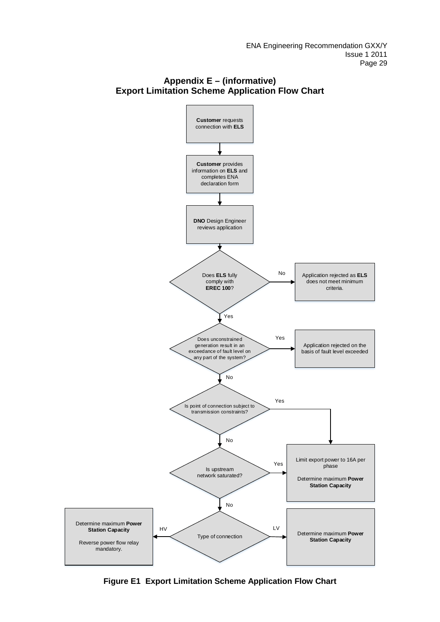<span id="page-28-0"></span>

# **Appendix E – (informative) Export Limitation Scheme Application Flow Chart**

**Figure E1 Export Limitation Scheme Application Flow Chart**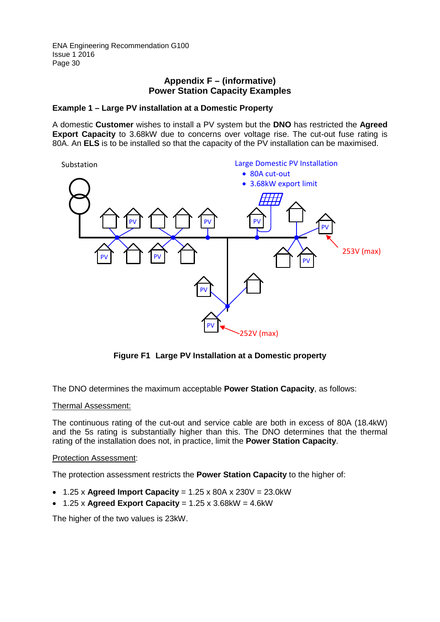# **Appendix F – (informative) Power Station Capacity Examples**

#### <span id="page-29-0"></span>**Example 1 – Large PV installation at a Domestic Property**

A domestic **Customer** wishes to install a PV system but the **DNO** has restricted the **Agreed Export Capacity** to 3.68kW due to concerns over voltage rise. The cut-out fuse rating is 80A. An **ELS** is to be installed so that the capacity of the PV installation can be maximised.



**Figure F1 Large PV Installation at a Domestic property**

The DNO determines the maximum acceptable **Power Station Capacity**, as follows:

#### Thermal Assessment:

The continuous rating of the cut-out and service cable are both in excess of 80A (18.4kW) and the 5s rating is substantially higher than this. The DNO determines that the thermal rating of the installation does not, in practice, limit the **Power Station Capacity**.

#### Protection Assessment:

The protection assessment restricts the **Power Station Capacity** to the higher of:

- 1.25 x **Agreed Import Capacity** = 1.25 x 80A x 230V = 23.0kW
- 1.25 x **Agreed Export Capacity** = 1.25 x 3.68kW = 4.6kW

The higher of the two values is 23kW.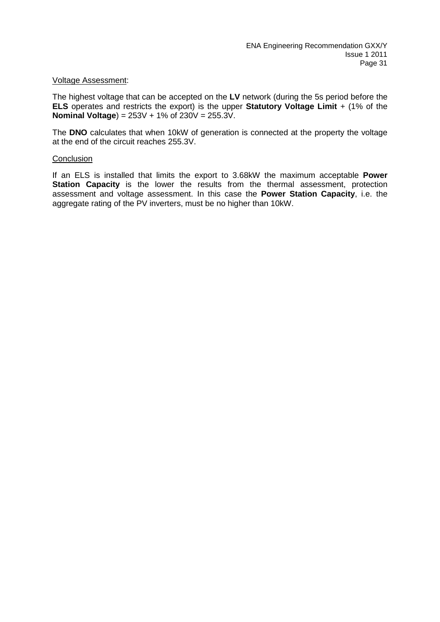#### Voltage Assessment:

The highest voltage that can be accepted on the **LV** network (during the 5s period before the **ELS** operates and restricts the export) is the upper **Statutory Voltage Limit** + (1% of the **Nominal Voltage**) = 253V + 1% of 230V = 255.3V.

The **DNO** calculates that when 10kW of generation is connected at the property the voltage at the end of the circuit reaches 255.3V.

#### **Conclusion**

If an ELS is installed that limits the export to 3.68kW the maximum acceptable **Power Station Capacity** is the lower the results from the thermal assessment, protection assessment and voltage assessment. In this case the **Power Station Capacity**, i.e. the aggregate rating of the PV inverters, must be no higher than 10kW.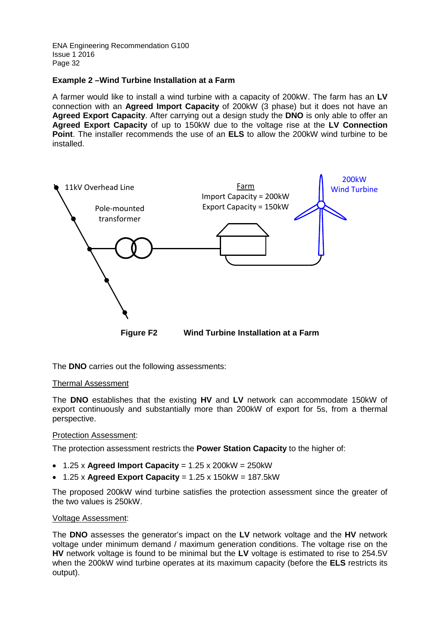#### **Example 2 –Wind Turbine Installation at a Farm**

A farmer would like to install a wind turbine with a capacity of 200kW. The farm has an **LV** connection with an **Agreed Import Capacity** of 200kW (3 phase) but it does not have an **Agreed Export Capacity**. After carrying out a design study the **DNO** is only able to offer an **Agreed Export Capacity** of up to 150kW due to the voltage rise at the **LV Connection Point**. The installer recommends the use of an **ELS** to allow the 200kW wind turbine to be installed.



The **DNO** carries out the following assessments:

#### Thermal Assessment

The **DNO** establishes that the existing **HV** and **LV** network can accommodate 150kW of export continuously and substantially more than 200kW of export for 5s, from a thermal perspective.

#### Protection Assessment:

The protection assessment restricts the **Power Station Capacity** to the higher of:

- 1.25 x **Agreed Import Capacity** = 1.25 x 200kW = 250kW
- 1.25 x **Agreed Export Capacity** = 1.25 x 150kW = 187.5kW

The proposed 200kW wind turbine satisfies the protection assessment since the greater of the two values is 250kW.

#### Voltage Assessment:

The **DNO** assesses the generator's impact on the **LV** network voltage and the **HV** network voltage under minimum demand / maximum generation conditions. The voltage rise on the **HV** network voltage is found to be minimal but the **LV** voltage is estimated to rise to 254.5V when the 200kW wind turbine operates at its maximum capacity (before the **ELS** restricts its output).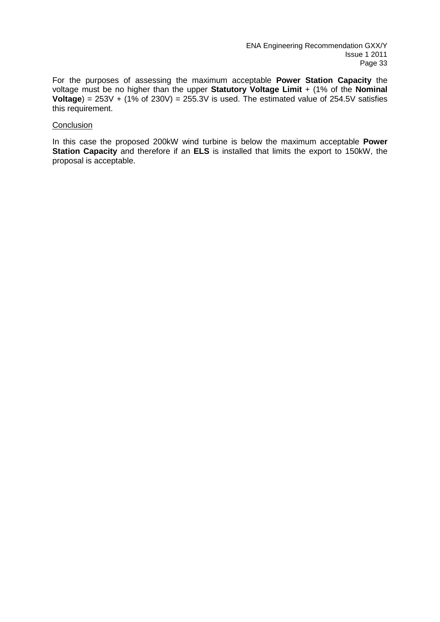For the purposes of assessing the maximum acceptable **Power Station Capacity** the voltage must be no higher than the upper **Statutory Voltage Limit** + (1% of the **Nominal Voltage**) =  $253V + (1\% \text{ of } 230V) = 255.3V$  is used. The estimated value of  $254.5V$  satisfies this requirement.

#### Conclusion

In this case the proposed 200kW wind turbine is below the maximum acceptable **Power Station Capacity** and therefore if an **ELS** is installed that limits the export to 150kW, the proposal is acceptable.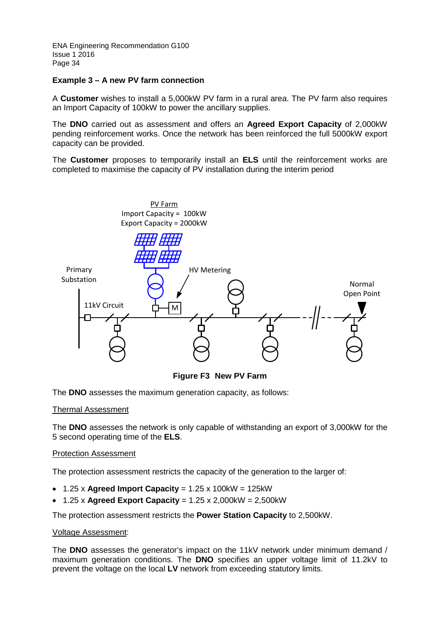#### **Example 3 – A new PV farm connection**

A **Customer** wishes to install a 5,000kW PV farm in a rural area. The PV farm also requires an Import Capacity of 100kW to power the ancillary supplies.

The **DNO** carried out as assessment and offers an **Agreed Export Capacity** of 2,000kW pending reinforcement works. Once the network has been reinforced the full 5000kW export capacity can be provided.

The **Customer** proposes to temporarily install an **ELS** until the reinforcement works are completed to maximise the capacity of PV installation during the interim period



**Figure F3 New PV Farm**

The **DNO** assesses the maximum generation capacity, as follows:

#### Thermal Assessment

The **DNO** assesses the network is only capable of withstanding an export of 3,000kW for the 5 second operating time of the **ELS**.

#### Protection Assessment

The protection assessment restricts the capacity of the generation to the larger of:

- $1.25 \times$  Agreed Import Capacity =  $1.25 \times 100$  kW =  $125$  kW
- 1.25 x **Agreed Export Capacity** = 1.25 x 2,000kW = 2,500kW

The protection assessment restricts the **Power Station Capacity** to 2,500kW.

#### Voltage Assessment:

The **DNO** assesses the generator's impact on the 11kV network under minimum demand / maximum generation conditions. The **DNO** specifies an upper voltage limit of 11.2kV to prevent the voltage on the local **LV** network from exceeding statutory limits.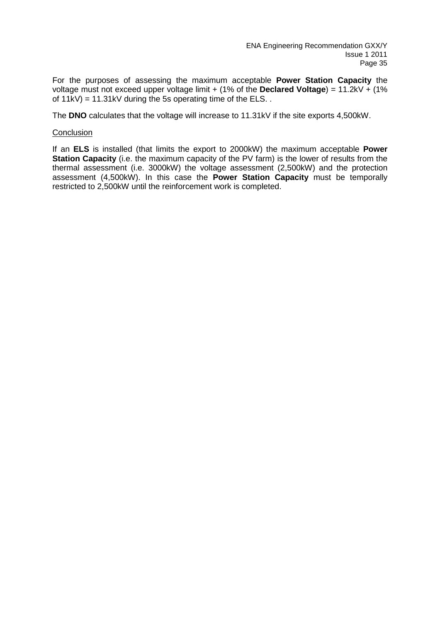For the purposes of assessing the maximum acceptable **Power Station Capacity** the voltage must not exceed upper voltage limit + (1% of the **Declared Voltage**) = 11.2kV + (1% of  $11kV$ ) = 11.31kV during the 5s operating time of the ELS.

The **DNO** calculates that the voltage will increase to 11.31kV if the site exports 4,500kW.

#### **Conclusion**

If an **ELS** is installed (that limits the export to 2000kW) the maximum acceptable **Power Station Capacity** (i.e. the maximum capacity of the PV farm) is the lower of results from the thermal assessment (i.e. 3000kW) the voltage assessment (2,500kW) and the protection assessment (4,500kW). In this case the **Power Station Capacity** must be temporally restricted to 2,500kW until the reinforcement work is completed.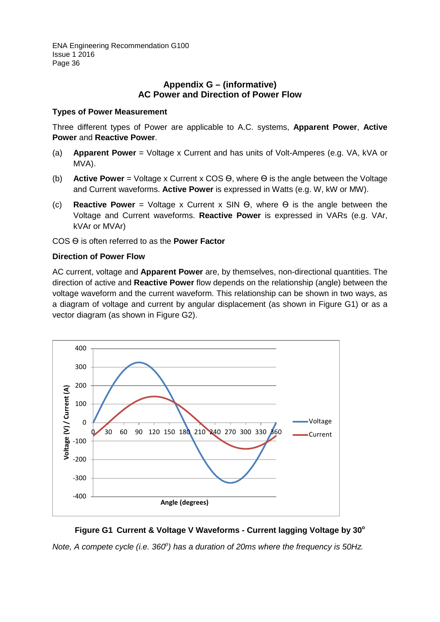# **Appendix G – (informative) AC Power and Direction of Power Flow**

# <span id="page-35-0"></span>**Types of Power Measurement**

Three different types of Power are applicable to A.C. systems, **Apparent Power**, **Active Power** and **Reactive Power**.

- (a) **Apparent Power** = Voltage x Current and has units of Volt-Amperes (e.g. VA, kVA or MVA).
- (b) **Active Power** = Voltage x Current x COS Ѳ, where Ѳ is the angle between the Voltage and Current waveforms. **Active Power** is expressed in Watts (e.g. W, kW or MW).
- (c) **Reactive Power** = Voltage x Current x SIN Ѳ, where Ѳ is the angle between the Voltage and Current waveforms. **Reactive Power** is expressed in VARs (e.g. VAr, kVAr or MVAr)

COS Ѳ is often referred to as the **Power Factor**

#### **Direction of Power Flow**

AC current, voltage and **Apparent Power** are, by themselves, non-directional quantities. The direction of active and **Reactive Power** flow depends on the relationship (angle) between the voltage waveform and the current waveform. This relationship can be shown in two ways, as a diagram of voltage and current by angular displacement (as shown in Figure G1) or as a vector diagram (as shown in Figure G2).





*Note, A compete cycle (i.e. 360°) has a duration of 20ms where the frequency is 50Hz.*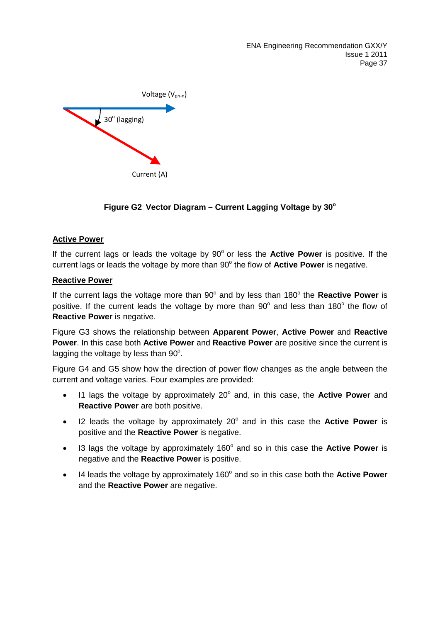ENA Engineering Recommendation GXX/Y Issue 1 2011 Page 37



# **Figure G2 Vector Diagram – Current Lagging Voltage by 30°**

# **Active Power**

If the current lags or leads the voltage by 90° or less the **Active Power** is positive. If the current lags or leads the voltage by more than 90<sup>°</sup> the flow of **Active Power** is negative.

#### **Reactive Power**

If the current lags the voltage more than 90<sup>°</sup> and by less than 180<sup>°</sup> the **Reactive Power** is positive. If the current leads the voltage by more than  $90^\circ$  and less than  $180^\circ$  the flow of **Reactive Power** is negative.

Figure G3 shows the relationship between **Apparent Power**, **Active Power** and **Reactive Power**. In this case both **Active Power** and **Reactive Power** are positive since the current is lagging the voltage by less than  $90^{\circ}$ .

Figure G4 and G5 show how the direction of power flow changes as the angle between the current and voltage varies. Four examples are provided:

- 11 lags the voltage by approximately 20° and, in this case, the Active Power and **Reactive Power** are both positive.
- 12 leads the voltage by approximately 20° and in this case the **Active Power** is positive and the **Reactive Power** is negative.
- I3 lags the voltage by approximately 160° and so in this case the **Active Power** is negative and the **Reactive Power** is positive.
- 14 leads the voltage by approximately 160<sup>°</sup> and so in this case both the **Active Power** and the **Reactive Power** are negative.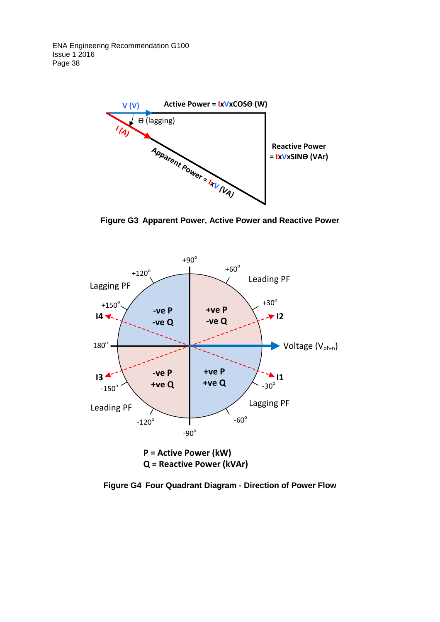

**Figure G3 Apparent Power, Active Power and Reactive Power**



**Figure G4 Four Quadrant Diagram - Direction of Power Flow**